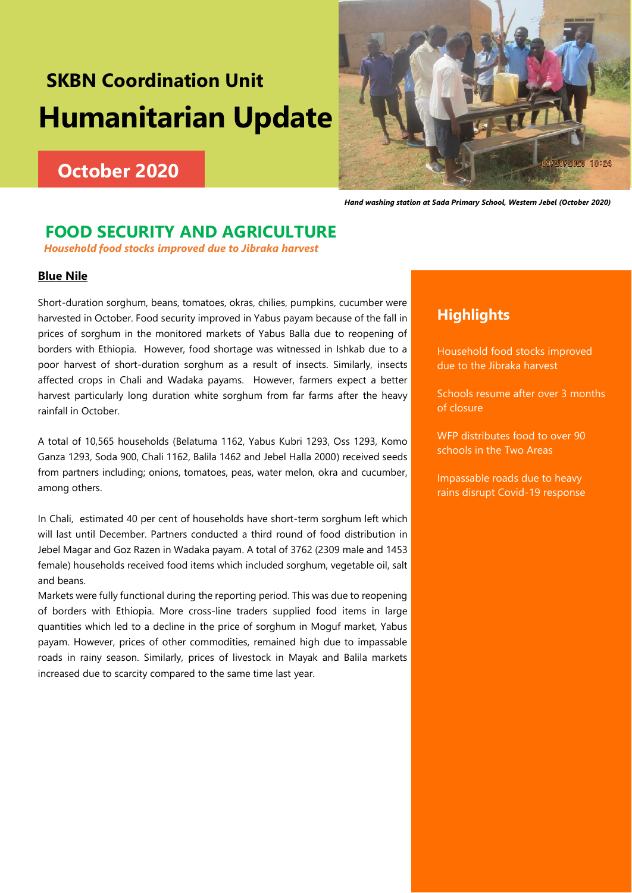# **SKBN Coordination Unit Humanitarian Update**

# **October 2020**



 *Hand washing station at Sada Primary School, Western Jebel (October 2020)*

# **FOOD SECURITY AND AGRICULTURE**

*Household food stocks improved due to Jibraka harvest*

#### **Blue Nile**

Short-duration sorghum, beans, tomatoes, okras, chilies, pumpkins, cucumber were harvested in October. Food security improved in Yabus payam because of the fall in prices of sorghum in the monitored markets of Yabus Balla due to reopening of borders with Ethiopia. However, food shortage was witnessed in Ishkab due to a poor harvest of short-duration sorghum as a result of insects. Similarly, insects affected crops in Chali and Wadaka payams. However, farmers expect a better harvest particularly long duration white sorghum from far farms after the heavy rainfall in October.

A total of 10,565 households (Belatuma 1162, Yabus Kubri 1293, Oss 1293, Komo Ganza 1293, Soda 900, Chali 1162, Balila 1462 and Jebel Halla 2000) received seeds from partners including; onions, tomatoes, peas, water melon, okra and cucumber, among others.

In Chali, estimated 40 per cent of households have short-term sorghum left which will last until December. Partners conducted a third round of food distribution in Jebel Magar and Goz Razen in Wadaka payam. A total of 3762 (2309 male and 1453 female) households received food items which included sorghum, vegetable oil, salt and beans.

Markets were fully functional during the reporting period. This was due to reopening of borders with Ethiopia. More cross-line traders supplied food items in large quantities which led to a decline in the price of sorghum in Moguf market, Yabus payam. However, prices of other commodities, remained high due to impassable roads in rainy season. Similarly, prices of livestock in Mayak and Balila markets increased due to scarcity compared to the same time last year.

### **Highlights**

Household food stocks improved due to the Jibraka harvest

Schools resume after over 3 months of closure

WFP distributes food to over 90 schools in the Two Areas

Impassable roads due to heavy rains disrupt Covid-19 response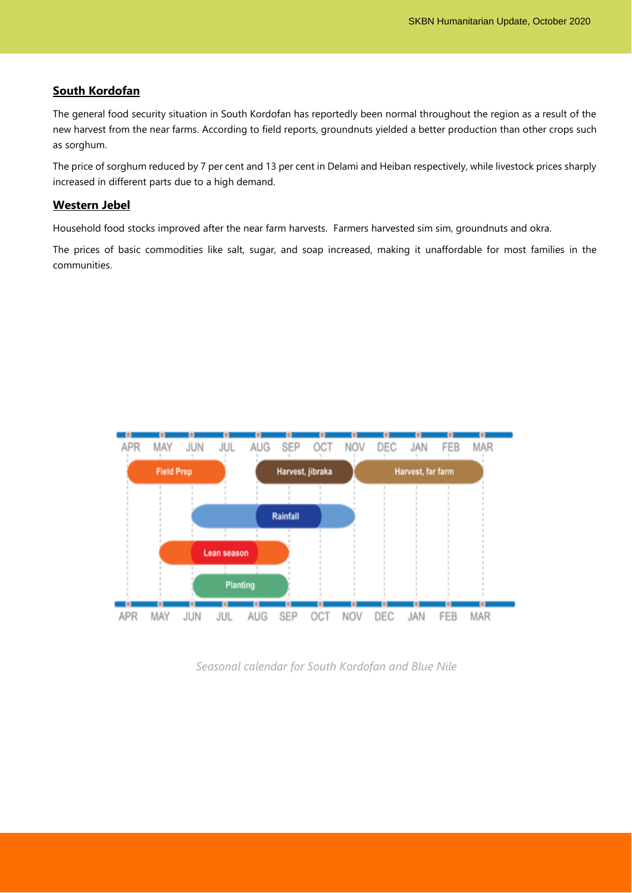#### **South Kordofan**

The general food security situation in South Kordofan has reportedly been normal throughout the region as a result of the new harvest from the near farms. According to field reports, groundnuts yielded a better production than other crops such as sorghum.

The price of sorghum reduced by 7 per cent and 13 per cent in Delami and Heiban respectively, while livestock prices sharply increased in different parts due to a high demand.

#### **Western Jebel**

Household food stocks improved after the near farm harvests. Farmers harvested sim sim, groundnuts and okra.

The prices of basic commodities like salt, sugar, and soap increased, making it unaffordable for most families in the communities.



*Seasonal calendar for South Kordofan and Blue Nile*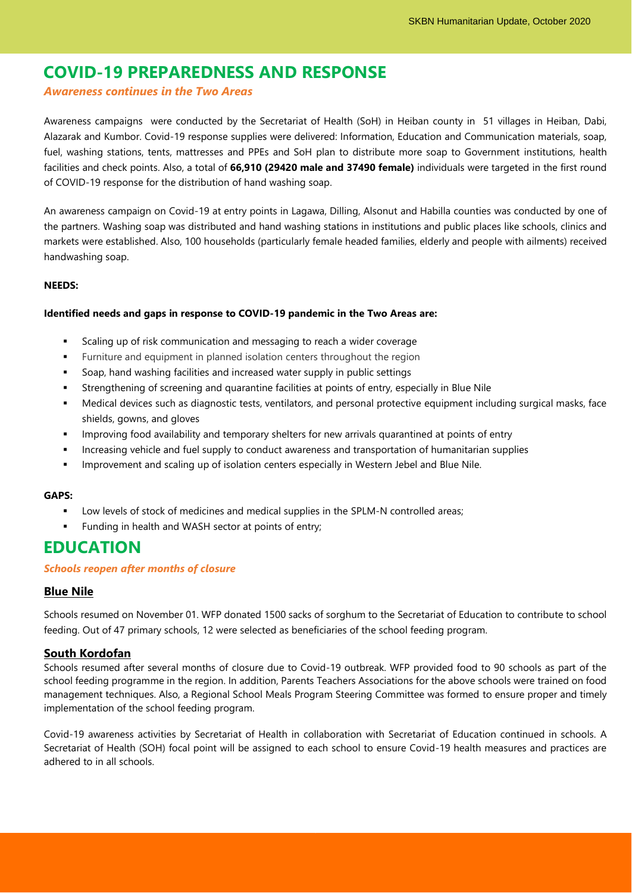# **COVID-19 PREPAREDNESS AND RESPONSE**

#### *Awareness continues in the Two Areas*

Awareness campaigns were conducted by the Secretariat of Health (SoH) in Heiban county in 51 villages in Heiban, Dabi, Alazarak and Kumbor. Covid-19 response supplies were delivered: Information, Education and Communication materials, soap, fuel, washing stations, tents, mattresses and PPEs and SoH plan to distribute more soap to Government institutions, health facilities and check points. Also, a total of **66,910 (29420 male and 37490 female)** individuals were targeted in the first round of COVID-19 response for the distribution of hand washing soap.

An awareness campaign on Covid-19 at entry points in Lagawa, Dilling, Alsonut and Habilla counties was conducted by one of the partners. Washing soap was distributed and hand washing stations in institutions and public places like schools, clinics and markets were established. Also, 100 households (particularly female headed families, elderly and people with ailments) received handwashing soap.

#### **NEEDS:**

#### **Identified needs and gaps in response to COVID-19 pandemic in the Two Areas are:**

- Scaling up of risk communication and messaging to reach a wider coverage
- Furniture and equipment in planned isolation centers throughout the region
- Soap, hand washing facilities and increased water supply in public settings
- Strengthening of screening and quarantine facilities at points of entry, especially in Blue Nile
- Medical devices such as diagnostic tests, ventilators, and personal protective equipment including surgical masks, face shields, gowns, and gloves
- **.** Improving food availability and temporary shelters for new arrivals quarantined at points of entry
- Increasing vehicle and fuel supply to conduct awareness and transportation of humanitarian supplies
- Improvement and scaling up of isolation centers especially in Western Jebel and Blue Nile.

#### **GAPS:**

- Low levels of stock of medicines and medical supplies in the SPLM-N controlled areas;
- Funding in health and WASH sector at points of entry;

# **EDUCATION**

#### *Schools reopen after months of closure*

#### **Blue Nile**

Schools resumed on November 01. WFP donated 1500 sacks of sorghum to the Secretariat of Education to contribute to school feeding. Out of 47 primary schools, 12 were selected as beneficiaries of the school feeding program.

#### **South Kordofan**

Schools resumed after several months of closure due to Covid-19 outbreak. WFP provided food to 90 schools as part of the school feeding programme in the region. In addition, Parents Teachers Associations for the above schools were trained on food management techniques. Also, a Regional School Meals Program Steering Committee was formed to ensure proper and timely implementation of the school feeding program.

Covid-19 awareness activities by Secretariat of Health in collaboration with Secretariat of Education continued in schools. A Secretariat of Health (SOH) focal point will be assigned to each school to ensure Covid-19 health measures and practices are adhered to in all schools.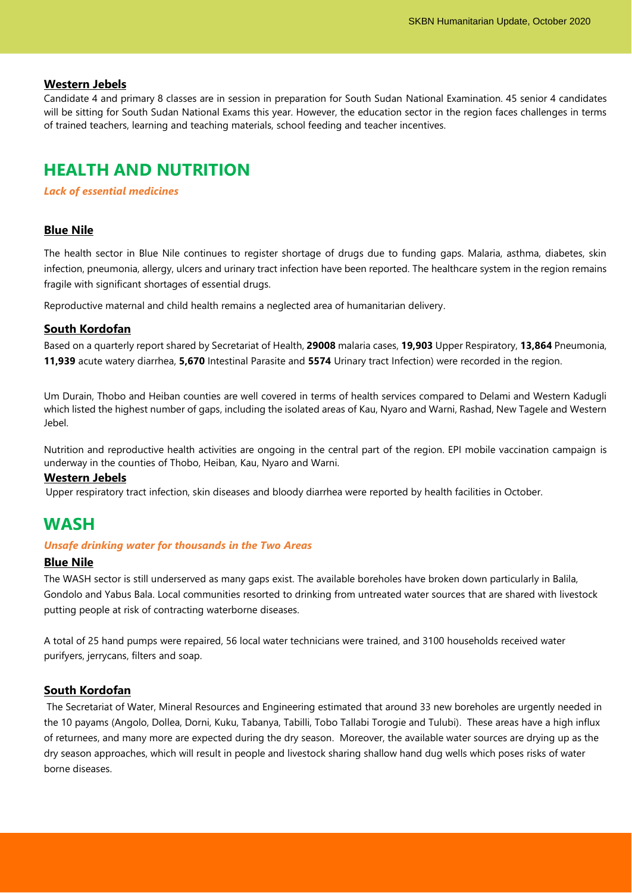#### **Western Jebels**

Candidate 4 and primary 8 classes are in session in preparation for South Sudan National Examination. 45 senior 4 candidates will be sitting for South Sudan National Exams this year. However, the education sector in the region faces challenges in terms of trained teachers, learning and teaching materials, school feeding and teacher incentives.

## **HEALTH AND NUTRITION**

*Lack of essential medicines*

#### **Blue Nile**

The health sector in Blue Nile continues to register shortage of drugs due to funding gaps. Malaria, asthma, diabetes, skin infection, pneumonia, allergy, ulcers and urinary tract infection have been reported. The healthcare system in the region remains fragile with significant shortages of essential drugs.

Reproductive maternal and child health remains a neglected area of humanitarian delivery.

#### **South Kordofan**

Based on a quarterly report shared by Secretariat of Health, **29008** malaria cases, **19,903** Upper Respiratory, **13,864** Pneumonia, **11,939** acute watery diarrhea, **5,670** Intestinal Parasite and **5574** Urinary tract Infection) were recorded in the region.

Um Durain, Thobo and Heiban counties are well covered in terms of health services compared to Delami and Western Kadugli which listed the highest number of gaps, including the isolated areas of Kau, Nyaro and Warni, Rashad, New Tagele and Western Jebel.

Nutrition and reproductive health activities are ongoing in the central part of the region. EPI mobile vaccination campaign is underway in the counties of Thobo, Heiban, Kau, Nyaro and Warni.

#### **Western Jebels**

Upper respiratory tract infection, skin diseases and bloody diarrhea were reported by health facilities in October.

### **WASH**

#### *Unsafe drinking water for thousands in the Two Areas*

#### **Blue Nile**

The WASH sector is still underserved as many gaps exist. The available boreholes have broken down particularly in Balila, Gondolo and Yabus Bala. Local communities resorted to drinking from untreated water sources that are shared with livestock putting people at risk of contracting waterborne diseases.

A total of 25 hand pumps were repaired, 56 local water technicians were trained, and 3100 households received water purifyers, jerrycans, filters and soap.

#### **South Kordofan**

The Secretariat of Water, Mineral Resources and Engineering estimated that around 33 new boreholes are urgently needed in the 10 payams (Angolo, Dollea, Dorni, Kuku, Tabanya, Tabilli, Tobo Tallabi Torogie and Tulubi). These areas have a high influx of returnees, and many more are expected during the dry season. Moreover, the available water sources are drying up as the dry season approaches, which will result in people and livestock sharing shallow hand dug wells which poses risks of water borne diseases.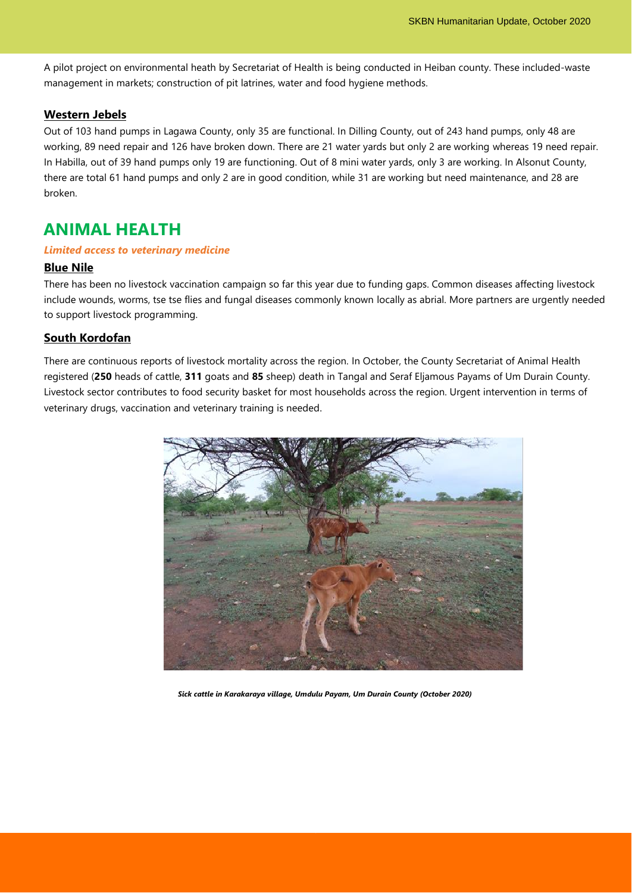A pilot project on environmental heath by Secretariat of Health is being conducted in Heiban county. These included-waste management in markets; construction of pit latrines, water and food hygiene methods.

#### **Western Jebels**

Out of 103 hand pumps in Lagawa County, only 35 are functional. In Dilling County, out of 243 hand pumps, only 48 are working, 89 need repair and 126 have broken down. There are 21 water yards but only 2 are working whereas 19 need repair. In Habilla, out of 39 hand pumps only 19 are functioning. Out of 8 mini water yards, only 3 are working. In Alsonut County, there are total 61 hand pumps and only 2 are in good condition, while 31 are working but need maintenance, and 28 are broken.

# **ANIMAL HEALTH**

#### *Limited access to veterinary medicine*

#### **Blue Nile**

There has been no livestock vaccination campaign so far this year due to funding gaps. Common diseases affecting livestock include wounds, worms, tse tse flies and fungal diseases commonly known locally as abrial. More partners are urgently needed to support livestock programming.

#### **South Kordofan**

There are continuous reports of livestock mortality across the region. In October, the County Secretariat of Animal Health registered (**250** heads of cattle, **311** goats and **85** sheep) death in Tangal and Seraf Eljamous Payams of Um Durain County. Livestock sector contributes to food security basket for most households across the region. Urgent intervention in terms of veterinary drugs, vaccination and veterinary training is needed.



*Sick cattle in Karakaraya village, Umdulu Payam, Um Durain County (October 2020)*